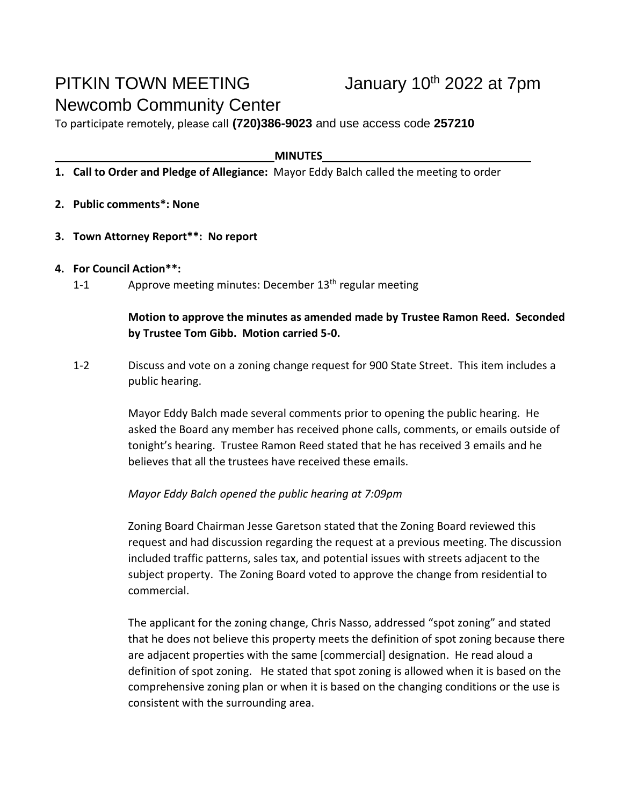# PITKIN TOWN MEETING January 10<sup>th</sup> 2022 at 7pm Newcomb Community Center

To participate remotely, please call **(720)386-9023** and use access code **257210**

#### **MINUTES**

- **1. Call to Order and Pledge of Allegiance:** Mayor Eddy Balch called the meeting to order
- **2. Public comments\*: None**
- **3. Town Attorney Report\*\*: No report**
- **4. For Council Action\*\*:**
	- 1-1 Approve meeting minutes: December  $13<sup>th</sup>$  regular meeting

## **Motion to approve the minutes as amended made by Trustee Ramon Reed. Seconded by Trustee Tom Gibb. Motion carried 5-0.**

1-2 Discuss and vote on a zoning change request for 900 State Street. This item includes a public hearing.

> Mayor Eddy Balch made several comments prior to opening the public hearing. He asked the Board any member has received phone calls, comments, or emails outside of tonight's hearing. Trustee Ramon Reed stated that he has received 3 emails and he believes that all the trustees have received these emails.

### *Mayor Eddy Balch opened the public hearing at 7:09pm*

Zoning Board Chairman Jesse Garetson stated that the Zoning Board reviewed this request and had discussion regarding the request at a previous meeting. The discussion included traffic patterns, sales tax, and potential issues with streets adjacent to the subject property. The Zoning Board voted to approve the change from residential to commercial.

The applicant for the zoning change, Chris Nasso, addressed "spot zoning" and stated that he does not believe this property meets the definition of spot zoning because there are adjacent properties with the same [commercial] designation. He read aloud a definition of spot zoning. He stated that spot zoning is allowed when it is based on the comprehensive zoning plan or when it is based on the changing conditions or the use is consistent with the surrounding area.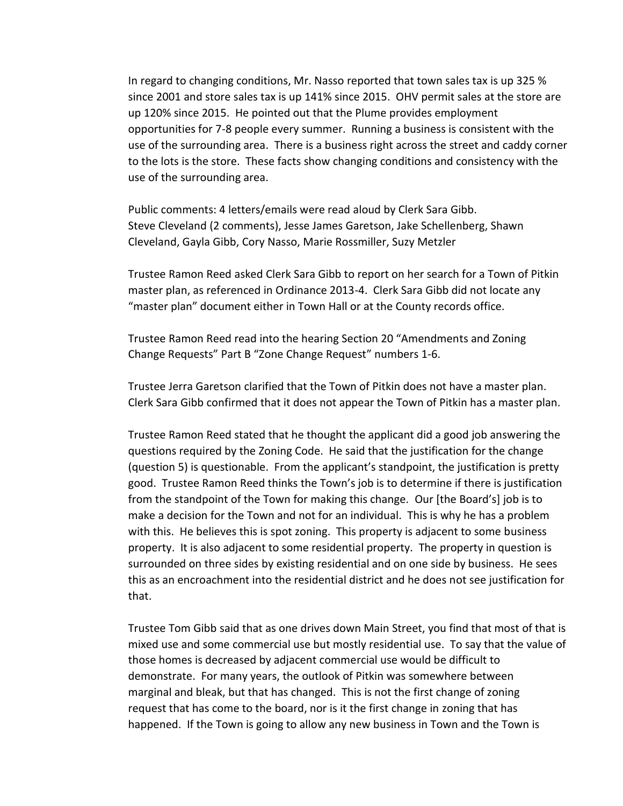In regard to changing conditions, Mr. Nasso reported that town sales tax is up 325 % since 2001 and store sales tax is up 141% since 2015. OHV permit sales at the store are up 120% since 2015. He pointed out that the Plume provides employment opportunities for 7-8 people every summer. Running a business is consistent with the use of the surrounding area. There is a business right across the street and caddy corner to the lots is the store. These facts show changing conditions and consistency with the use of the surrounding area.

Public comments: 4 letters/emails were read aloud by Clerk Sara Gibb. Steve Cleveland (2 comments), Jesse James Garetson, Jake Schellenberg, Shawn Cleveland, Gayla Gibb, Cory Nasso, Marie Rossmiller, Suzy Metzler

Trustee Ramon Reed asked Clerk Sara Gibb to report on her search for a Town of Pitkin master plan, as referenced in Ordinance 2013-4. Clerk Sara Gibb did not locate any "master plan" document either in Town Hall or at the County records office.

Trustee Ramon Reed read into the hearing Section 20 "Amendments and Zoning Change Requests" Part B "Zone Change Request" numbers 1-6.

Trustee Jerra Garetson clarified that the Town of Pitkin does not have a master plan. Clerk Sara Gibb confirmed that it does not appear the Town of Pitkin has a master plan.

Trustee Ramon Reed stated that he thought the applicant did a good job answering the questions required by the Zoning Code. He said that the justification for the change (question 5) is questionable. From the applicant's standpoint, the justification is pretty good. Trustee Ramon Reed thinks the Town's job is to determine if there is justification from the standpoint of the Town for making this change. Our [the Board's] job is to make a decision for the Town and not for an individual. This is why he has a problem with this. He believes this is spot zoning. This property is adjacent to some business property. It is also adjacent to some residential property. The property in question is surrounded on three sides by existing residential and on one side by business. He sees this as an encroachment into the residential district and he does not see justification for that.

Trustee Tom Gibb said that as one drives down Main Street, you find that most of that is mixed use and some commercial use but mostly residential use. To say that the value of those homes is decreased by adjacent commercial use would be difficult to demonstrate. For many years, the outlook of Pitkin was somewhere between marginal and bleak, but that has changed. This is not the first change of zoning request that has come to the board, nor is it the first change in zoning that has happened. If the Town is going to allow any new business in Town and the Town is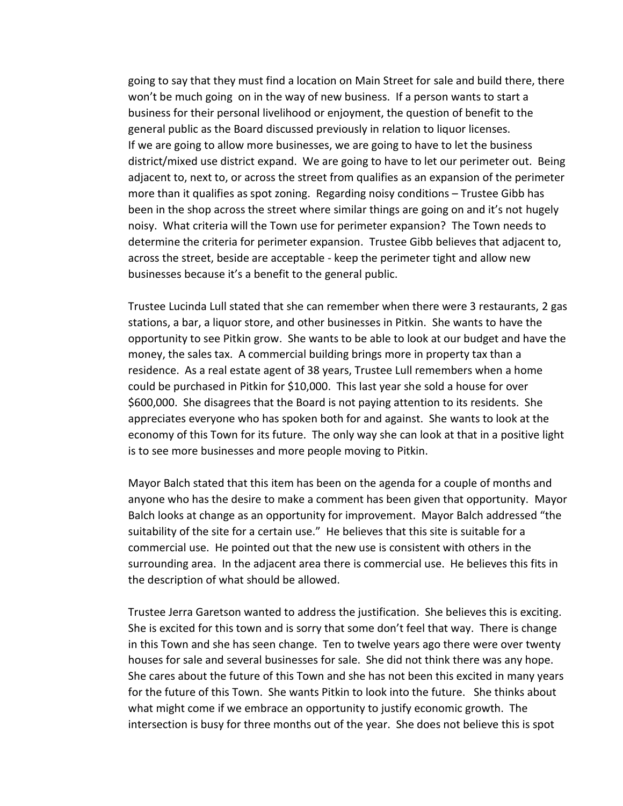going to say that they must find a location on Main Street for sale and build there, there won't be much going on in the way of new business. If a person wants to start a business for their personal livelihood or enjoyment, the question of benefit to the general public as the Board discussed previously in relation to liquor licenses. If we are going to allow more businesses, we are going to have to let the business district/mixed use district expand. We are going to have to let our perimeter out. Being adjacent to, next to, or across the street from qualifies as an expansion of the perimeter more than it qualifies as spot zoning. Regarding noisy conditions – Trustee Gibb has been in the shop across the street where similar things are going on and it's not hugely noisy. What criteria will the Town use for perimeter expansion? The Town needs to determine the criteria for perimeter expansion. Trustee Gibb believes that adjacent to, across the street, beside are acceptable - keep the perimeter tight and allow new businesses because it's a benefit to the general public.

Trustee Lucinda Lull stated that she can remember when there were 3 restaurants, 2 gas stations, a bar, a liquor store, and other businesses in Pitkin. She wants to have the opportunity to see Pitkin grow. She wants to be able to look at our budget and have the money, the sales tax. A commercial building brings more in property tax than a residence. As a real estate agent of 38 years, Trustee Lull remembers when a home could be purchased in Pitkin for \$10,000. This last year she sold a house for over \$600,000. She disagrees that the Board is not paying attention to its residents. She appreciates everyone who has spoken both for and against. She wants to look at the economy of this Town for its future. The only way she can look at that in a positive light is to see more businesses and more people moving to Pitkin.

Mayor Balch stated that this item has been on the agenda for a couple of months and anyone who has the desire to make a comment has been given that opportunity. Mayor Balch looks at change as an opportunity for improvement. Mayor Balch addressed "the suitability of the site for a certain use." He believes that this site is suitable for a commercial use. He pointed out that the new use is consistent with others in the surrounding area. In the adjacent area there is commercial use. He believes this fits in the description of what should be allowed.

Trustee Jerra Garetson wanted to address the justification. She believes this is exciting. She is excited for this town and is sorry that some don't feel that way. There is change in this Town and she has seen change. Ten to twelve years ago there were over twenty houses for sale and several businesses for sale. She did not think there was any hope. She cares about the future of this Town and she has not been this excited in many years for the future of this Town. She wants Pitkin to look into the future. She thinks about what might come if we embrace an opportunity to justify economic growth. The intersection is busy for three months out of the year. She does not believe this is spot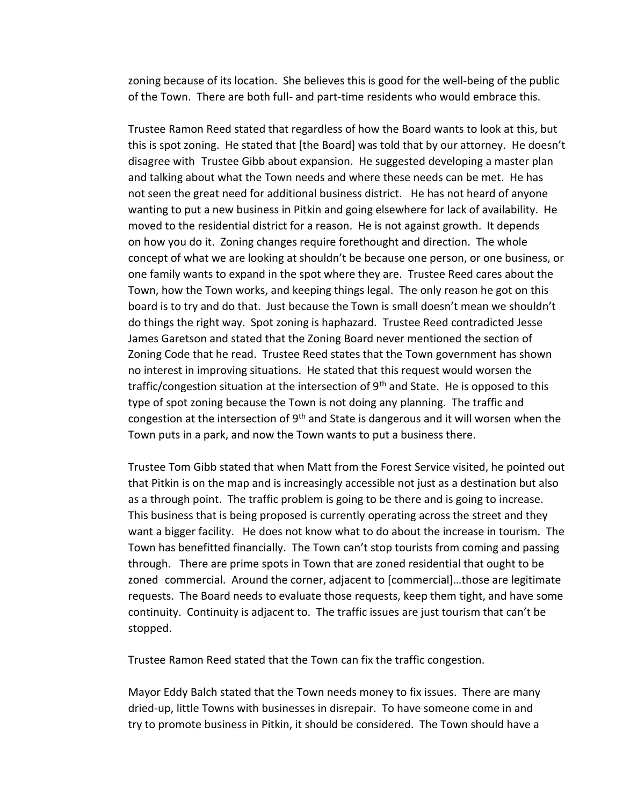zoning because of its location. She believes this is good for the well-being of the public of the Town. There are both full- and part-time residents who would embrace this.

Trustee Ramon Reed stated that regardless of how the Board wants to look at this, but this is spot zoning. He stated that [the Board] was told that by our attorney. He doesn't disagree with Trustee Gibb about expansion. He suggested developing a master plan and talking about what the Town needs and where these needs can be met. He has not seen the great need for additional business district. He has not heard of anyone wanting to put a new business in Pitkin and going elsewhere for lack of availability. He moved to the residential district for a reason. He is not against growth. It depends on how you do it. Zoning changes require forethought and direction. The whole concept of what we are looking at shouldn't be because one person, or one business, or one family wants to expand in the spot where they are. Trustee Reed cares about the Town, how the Town works, and keeping things legal. The only reason he got on this board is to try and do that. Just because the Town is small doesn't mean we shouldn't do things the right way. Spot zoning is haphazard. Trustee Reed contradicted Jesse James Garetson and stated that the Zoning Board never mentioned the section of Zoning Code that he read. Trustee Reed states that the Town government has shown no interest in improving situations. He stated that this request would worsen the traffic/congestion situation at the intersection of  $9<sup>th</sup>$  and State. He is opposed to this type of spot zoning because the Town is not doing any planning. The traffic and congestion at the intersection of  $9<sup>th</sup>$  and State is dangerous and it will worsen when the Town puts in a park, and now the Town wants to put a business there.

Trustee Tom Gibb stated that when Matt from the Forest Service visited, he pointed out that Pitkin is on the map and is increasingly accessible not just as a destination but also as a through point. The traffic problem is going to be there and is going to increase. This business that is being proposed is currently operating across the street and they want a bigger facility. He does not know what to do about the increase in tourism. The Town has benefitted financially. The Town can't stop tourists from coming and passing through. There are prime spots in Town that are zoned residential that ought to be zoned commercial. Around the corner, adjacent to [commercial]…those are legitimate requests. The Board needs to evaluate those requests, keep them tight, and have some continuity. Continuity is adjacent to. The traffic issues are just tourism that can't be stopped.

Trustee Ramon Reed stated that the Town can fix the traffic congestion.

Mayor Eddy Balch stated that the Town needs money to fix issues. There are many dried-up, little Towns with businesses in disrepair. To have someone come in and try to promote business in Pitkin, it should be considered. The Town should have a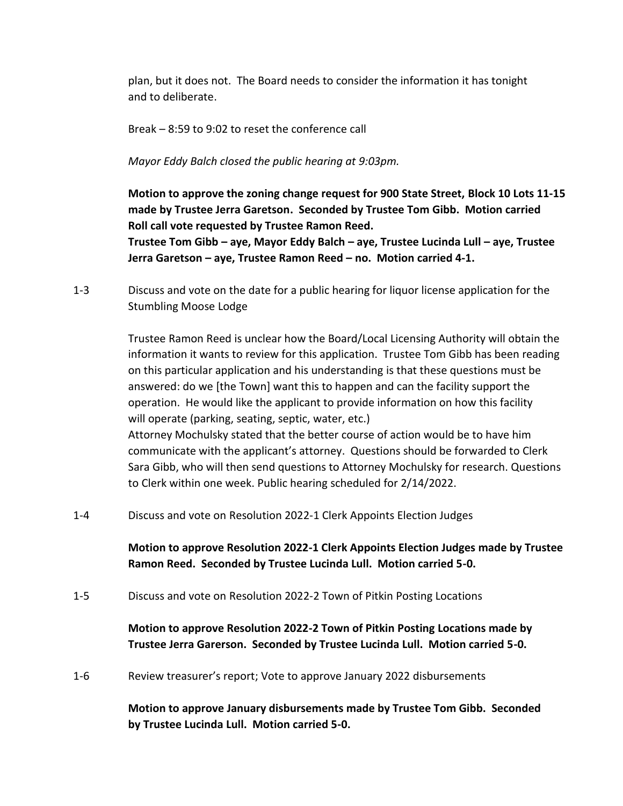plan, but it does not. The Board needs to consider the information it has tonight and to deliberate.

Break – 8:59 to 9:02 to reset the conference call

*Mayor Eddy Balch closed the public hearing at 9:03pm.*

**Motion to approve the zoning change request for 900 State Street, Block 10 Lots 11-15 made by Trustee Jerra Garetson. Seconded by Trustee Tom Gibb. Motion carried Roll call vote requested by Trustee Ramon Reed. Trustee Tom Gibb – aye, Mayor Eddy Balch – aye, Trustee Lucinda Lull – aye, Trustee Jerra Garetson – aye, Trustee Ramon Reed – no. Motion carried 4-1.**

1-3 Discuss and vote on the date for a public hearing for liquor license application for the Stumbling Moose Lodge

> Trustee Ramon Reed is unclear how the Board/Local Licensing Authority will obtain the information it wants to review for this application. Trustee Tom Gibb has been reading on this particular application and his understanding is that these questions must be answered: do we [the Town] want this to happen and can the facility support the operation. He would like the applicant to provide information on how this facility will operate (parking, seating, septic, water, etc.) Attorney Mochulsky stated that the better course of action would be to have him communicate with the applicant's attorney. Questions should be forwarded to Clerk Sara Gibb, who will then send questions to Attorney Mochulsky for research. Questions

1-4 Discuss and vote on Resolution 2022-1 Clerk Appoints Election Judges

to Clerk within one week. Public hearing scheduled for 2/14/2022.

**Motion to approve Resolution 2022-1 Clerk Appoints Election Judges made by Trustee Ramon Reed. Seconded by Trustee Lucinda Lull. Motion carried 5-0.**

1-5 Discuss and vote on Resolution 2022-2 Town of Pitkin Posting Locations

**Motion to approve Resolution 2022-2 Town of Pitkin Posting Locations made by Trustee Jerra Garerson. Seconded by Trustee Lucinda Lull. Motion carried 5-0.**

1-6 Review treasurer's report; Vote to approve January 2022 disbursements

**Motion to approve January disbursements made by Trustee Tom Gibb. Seconded by Trustee Lucinda Lull. Motion carried 5-0.**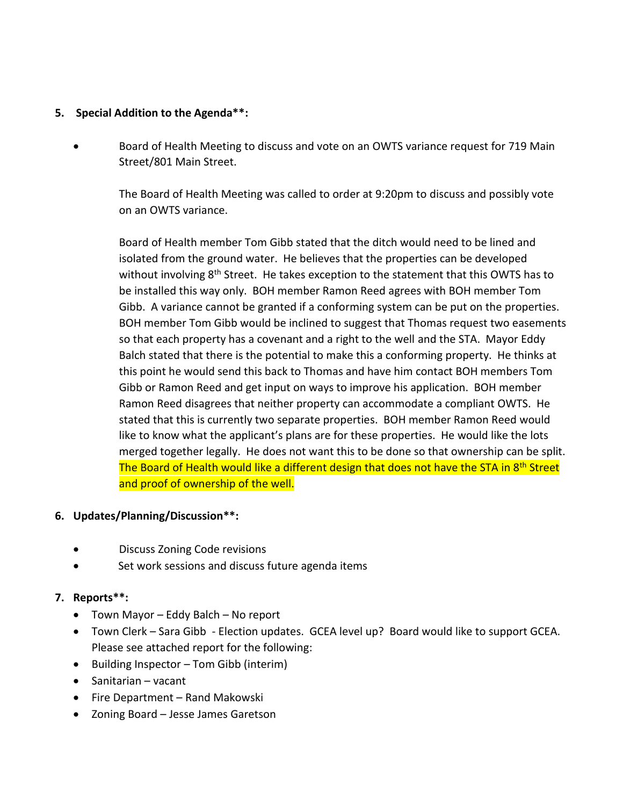#### **5. Special Addition to the Agenda\*\*:**

• Board of Health Meeting to discuss and vote on an OWTS variance request for 719 Main Street/801 Main Street.

The Board of Health Meeting was called to order at 9:20pm to discuss and possibly vote on an OWTS variance.

Board of Health member Tom Gibb stated that the ditch would need to be lined and isolated from the ground water. He believes that the properties can be developed without involving 8<sup>th</sup> Street. He takes exception to the statement that this OWTS has to be installed this way only. BOH member Ramon Reed agrees with BOH member Tom Gibb. A variance cannot be granted if a conforming system can be put on the properties. BOH member Tom Gibb would be inclined to suggest that Thomas request two easements so that each property has a covenant and a right to the well and the STA. Mayor Eddy Balch stated that there is the potential to make this a conforming property. He thinks at this point he would send this back to Thomas and have him contact BOH members Tom Gibb or Ramon Reed and get input on ways to improve his application. BOH member Ramon Reed disagrees that neither property can accommodate a compliant OWTS. He stated that this is currently two separate properties. BOH member Ramon Reed would like to know what the applicant's plans are for these properties. He would like the lots merged together legally. He does not want this to be done so that ownership can be split. The Board of Health would like a different design that does not have the STA in 8<sup>th</sup> Street and proof of ownership of the well.

#### **6. Updates/Planning/Discussion\*\*:**

- Discuss Zoning Code revisions
- Set work sessions and discuss future agenda items

### **7. Reports\*\*:**

- Town Mayor Eddy Balch No report
- Town Clerk Sara Gibb Election updates. GCEA level up? Board would like to support GCEA. Please see attached report for the following:
- Building Inspector Tom Gibb (interim)
- Sanitarian vacant
- Fire Department Rand Makowski
- Zoning Board Jesse James Garetson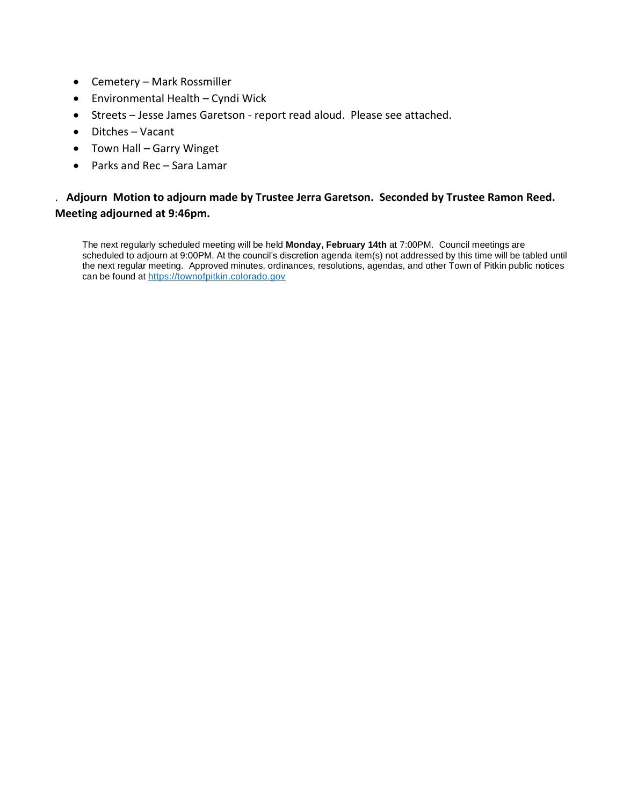- Cemetery Mark Rossmiller
- Environmental Health Cyndi Wick
- Streets Jesse James Garetson report read aloud. Please see attached.
- Ditches Vacant
- Town Hall Garry Winget
- Parks and Rec Sara Lamar

## . **Adjourn Motion to adjourn made by Trustee Jerra Garetson. Seconded by Trustee Ramon Reed. Meeting adjourned at 9:46pm.**

The next regularly scheduled meeting will be held **Monday, February 14th** at 7:00PM. Council meetings are scheduled to adjourn at 9:00PM. At the council's discretion agenda item(s) not addressed by this time will be tabled until the next regular meeting. Approved minutes, ordinances, resolutions, agendas, and other Town of Pitkin public notices can be found at [https://townofpitkin.colorado.gov](https://townofpitkin.colorado.gov/)